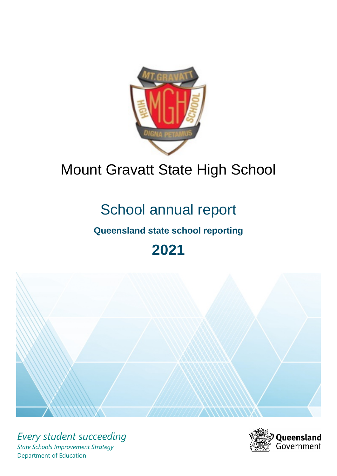

# Mount Gravatt State High School

# School annual report

# **Queensland state school reporting**

# **2021**



*Every student succeeding State Schools Improvement Strategy* Department of Education

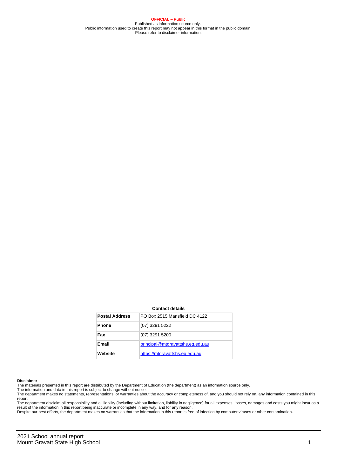**OFFICIAL – Public** Published as information source only. Public information used to create this report may not appear in this format in the public domain Please refer to disclaimer information.

#### **Contact details**

| <b>Postal Address</b> | PO Box 2515 Mansfield DC 4122    |
|-----------------------|----------------------------------|
| <b>Phone</b>          | (07) 3291 5222                   |
| Fax                   | (07) 3291 5200                   |
| <b>Email</b>          | principal@mtgravattshs.eq.edu.au |
| Website               | https://mtgravattshs.eg.edu.au   |

#### **Disclaimer**

The materials presented in this report are distributed by the Department of Education (the department) as an information source only.

The information and data in this report is subject to change without notice.<br>The department makes no statements, representations, or warranties about the accuracy or completeness of, and you should not rely on, any informa report. The department disclaim all responsibility and all liability (including without limitation, liability in negligence) for all expenses, losses, damages and costs you might incur as a

result of the information in this report being inaccurate or incomplete in any way, and for any reason.

Despite our best efforts, the department makes no warranties that the information in this report is free of infection by computer viruses or other contamination.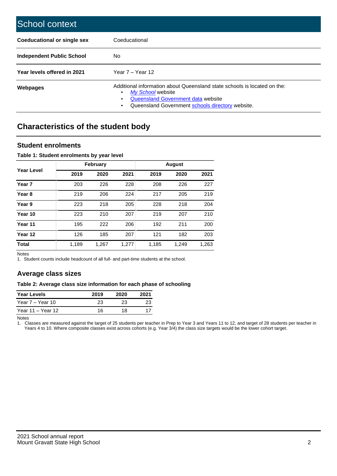| School context                     |                                                                                                                                                                                                   |
|------------------------------------|---------------------------------------------------------------------------------------------------------------------------------------------------------------------------------------------------|
| <b>Coeducational or single sex</b> | Coeducational                                                                                                                                                                                     |
| Independent Public School          | No.                                                                                                                                                                                               |
| Year levels offered in 2021        | Year $7 -$ Year 12                                                                                                                                                                                |
| Webpages                           | Additional information about Queensland state schools is located on the:<br>My School website<br>٠<br>Queensland Government data website<br>Queensland Government schools directory website.<br>٠ |

# **Characteristics of the student body**

## **Student enrolments**

### **Table 1: Student enrolments by year level**

|                   |       | <b>February</b> |       | <b>August</b> |       |       |  |  |
|-------------------|-------|-----------------|-------|---------------|-------|-------|--|--|
| <b>Year Level</b> | 2019  | 2020            | 2021  | 2019          | 2020  | 2021  |  |  |
| Year <sub>7</sub> | 203   | 226             | 228   | 208           | 226   | 227   |  |  |
| Year <sub>8</sub> | 219   | 206             | 224   | 217           | 205   | 219   |  |  |
| Year 9            | 223   | 218             | 205   | 228           | 218   | 204   |  |  |
| Year 10           | 223   | 210             | 207   | 219           | 207   | 210   |  |  |
| Year 11           | 195   | 222             | 206   | 192           | 211   | 200   |  |  |
| Year 12           | 126   | 185             | 207   | 121           | 182   | 203   |  |  |
| <b>Total</b>      | 1,189 | 1,267           | 1,277 | 1,185         | 1,249 | 1,263 |  |  |

Notes

1. Student counts include headcount of all full- and part-time students at the school.

# **Average class sizes**

### **Table 2: Average class size information for each phase of schooling**

| <b>Year Levels</b> | 2019 | 2020 | 2021 |
|--------------------|------|------|------|
| Year 7 – Year 10   | 23   | 23   | 23   |
| Year 11 – Year 12  | 16   | 18   |      |

Notes

1. Classes are measured against the target of 25 students per teacher in Prep to Year 3 and Years 11 to 12, and target of 28 students per teacher in Years 4 to 10. Where composite classes exist across cohorts (e.g. Year 3/4) the class size targets would be the lower cohort target.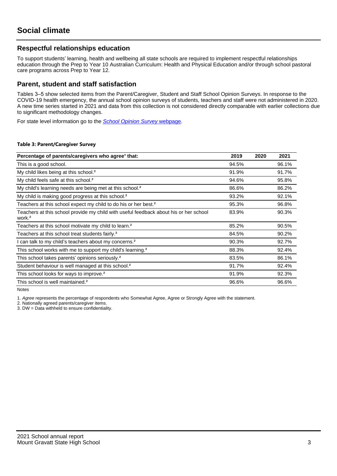# **Respectful relationships education**

To support students' learning, health and wellbeing all state schools are required to implement respectful relationships education through the Prep to Year 10 Australian Curriculum: Health and Physical Education and/or through school pastoral care programs across Prep to Year 12.

## **Parent, student and staff satisfaction**

Tables 3–5 show selected items from the Parent/Caregiver, Student and Staff School Opinion Surveys. In response to the COVID-19 health emergency, the annual school opinion surveys of students, teachers and staff were not administered in 2020. A new time series started in 2021 and data from this collection is not considered directly comparable with earlier collections due to significant methodology changes.

For state level information go to the **[School Opinion Survey](https://qed.qld.gov.au/publications/reports/statistics/schooling/schools/schoolopinionsurvey) webpage**.

### **Table 3: Parent/Caregiver Survey**

| Percentage of parents/caregivers who agree <sup>1</sup> that:                                               | 2019  | 2020 | 2021  |
|-------------------------------------------------------------------------------------------------------------|-------|------|-------|
| This is a good school.                                                                                      | 94.5% |      | 96.1% |
| My child likes being at this school. <sup>2</sup>                                                           | 91.9% |      | 91.7% |
| My child feels safe at this school. <sup>2</sup>                                                            | 94.6% |      | 95.8% |
| My child's learning needs are being met at this school. <sup>2</sup>                                        | 86.6% |      | 86.2% |
| My child is making good progress at this school. <sup>2</sup>                                               | 93.2% |      | 92.1% |
| Teachers at this school expect my child to do his or her best. <sup>2</sup>                                 | 95.3% |      | 96.8% |
| Teachers at this school provide my child with useful feedback about his or her school<br>work. <sup>2</sup> | 83.9% |      | 90.3% |
| Teachers at this school motivate my child to learn. <sup>2</sup>                                            | 85.2% |      | 90.5% |
| Teachers at this school treat students fairly. <sup>2</sup>                                                 | 84.5% |      | 90.2% |
| I can talk to my child's teachers about my concerns. <sup>2</sup>                                           | 90.3% |      | 92.7% |
| This school works with me to support my child's learning. <sup>2</sup>                                      | 88.3% |      | 92.4% |
| This school takes parents' opinions seriously. <sup>2</sup>                                                 | 83.5% |      | 86.1% |
| Student behaviour is well managed at this school. <sup>2</sup>                                              | 91.7% |      | 92.4% |
| This school looks for ways to improve. <sup>2</sup>                                                         | 91.9% |      | 92.3% |
| This school is well maintained. <sup>2</sup>                                                                | 96.6% |      | 96.6% |

Notes

1. Agree represents the percentage of respondents who Somewhat Agree, Agree or Strongly Agree with the statement.

2. Nationally agreed parents/caregiver items.

3. DW = Data withheld to ensure confidentiality.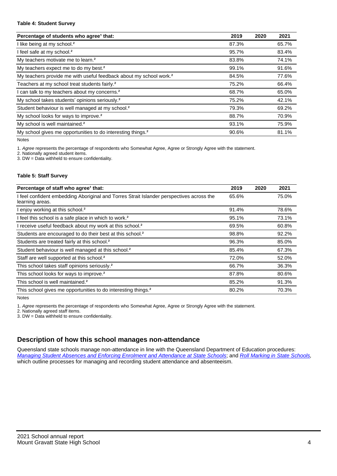#### **Table 4: Student Survey**

| Percentage of students who agree <sup>1</sup> that:                            | 2019  | 2020 | 2021  |
|--------------------------------------------------------------------------------|-------|------|-------|
| I like being at my school. <sup>2</sup>                                        | 87.3% |      | 65.7% |
| I feel safe at my school. <sup>2</sup>                                         | 95.7% |      | 83.4% |
| My teachers motivate me to learn. <sup>2</sup>                                 | 83.8% |      | 74.1% |
| My teachers expect me to do my best. <sup>2</sup>                              | 99.1% |      | 91.6% |
| My teachers provide me with useful feedback about my school work. <sup>2</sup> | 84.5% |      | 77.6% |
| Teachers at my school treat students fairly. <sup>2</sup>                      | 75.2% |      | 66.4% |
| I can talk to my teachers about my concerns. <sup>2</sup>                      | 68.7% |      | 65.0% |
| My school takes students' opinions seriously. <sup>2</sup>                     | 75.2% |      | 42.1% |
| Student behaviour is well managed at my school. <sup>2</sup>                   | 79.3% |      | 69.2% |
| My school looks for ways to improve. <sup>2</sup>                              | 88.7% |      | 70.9% |
| My school is well maintained. <sup>2</sup>                                     | 93.1% |      | 75.9% |
| My school gives me opportunities to do interesting things. <sup>2</sup>        | 90.6% |      | 81.1% |

Notes

1. Agree represents the percentage of respondents who Somewhat Agree, Agree or Strongly Agree with the statement.

2. Nationally agreed student items.

3. DW = Data withheld to ensure confidentiality.

### **Table 5: Staff Survey**

| Percentage of staff who agree <sup>1</sup> that:                                                            | 2019  | 2020 | 2021  |
|-------------------------------------------------------------------------------------------------------------|-------|------|-------|
| I feel confident embedding Aboriginal and Torres Strait Islander perspectives across the<br>learning areas. | 65.6% |      | 75.0% |
| I enjoy working at this school. <sup>2</sup>                                                                | 91.4% |      | 78.6% |
| I feel this school is a safe place in which to work. <sup>2</sup>                                           | 95.1% |      | 73.1% |
| I receive useful feedback about my work at this school. <sup>2</sup>                                        | 69.5% |      | 60.8% |
| Students are encouraged to do their best at this school. <sup>2</sup>                                       | 98.8% |      | 92.2% |
| Students are treated fairly at this school. <sup>2</sup>                                                    | 96.3% |      | 85.0% |
| Student behaviour is well managed at this school. <sup>2</sup>                                              | 85.4% |      | 67.3% |
| Staff are well supported at this school. <sup>2</sup>                                                       | 72.0% |      | 52.0% |
| This school takes staff opinions seriously. <sup>2</sup>                                                    | 66.7% |      | 36.3% |
| This school looks for ways to improve. <sup>2</sup>                                                         | 87.8% |      | 80.6% |
| This school is well maintained. <sup>2</sup>                                                                | 85.2% |      | 91.3% |
| This school gives me opportunities to do interesting things. <sup>2</sup>                                   | 80.2% |      | 70.3% |

Notes

1. Agree represents the percentage of respondents who Somewhat Agree, Agree or Strongly Agree with the statement.

2. Nationally agreed staff items.

3. DW = Data withheld to ensure confidentiality.

# **Description of how this school manages non-attendance**

Queensland state schools manage non-attendance in line with the Queensland Department of Education procedures: [Managing Student Absences and Enforcing Enrolment and Attendance at State Schools](https://ppr.qed.qld.gov.au/pp/managing-student-absences-and-enforcing-enrolment-and-attendance-at-state-schools-procedure); and [Roll Marking in State Schools,](https://ppr.qed.qld.gov.au/pp/roll-marking-in-state-schools-procedure) which outline processes for managing and recording student attendance and absenteeism.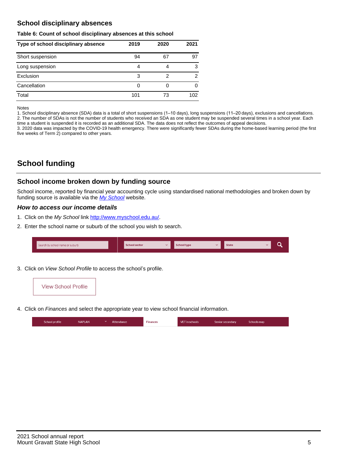# **School disciplinary absences**

### **Table 6: Count of school disciplinary absences at this school**

| Type of school disciplinary absence | 2019 | 2020 | 2021 |
|-------------------------------------|------|------|------|
| Short suspension                    | 94   | 67   | 97   |
| Long suspension                     | 4    |      | 3    |
| Exclusion                           | 3    | 2    | 2    |
| Cancellation                        | 0    |      | 0    |
| Total                               | 101  | 73   | 102  |

Notes

1. School disciplinary absence (SDA) data is a total of short suspensions (1–10 days), long suspensions (11–20 days), exclusions and cancellations. 2. The number of SDAs is not the number of students who received an SDA as one student may be suspended several times in a school year. Each time a student is suspended it is recorded as an additional SDA. The data does not reflect the outcomes of appeal decisions.

3. 2020 data was impacted by the COVID-19 health emergency. There were significantly fewer SDAs during the home-based learning period (the first five weeks of Term 2) compared to other years.

# **School funding**

## **School income broken down by funding source**

School income, reported by financial year accounting cycle using standardised national methodologies and broken down by funding source is available via the  $My$  School website.

## **How to access our income details**

- 1. Click on the My School link <http://www.myschool.edu.au/>.
- 2. Enter the school name or suburb of the school you wish to search.

| Search by school name or suburb | <b>School sector</b> | <b>School type</b> | <b>State</b> |  |
|---------------------------------|----------------------|--------------------|--------------|--|
|                                 |                      |                    |              |  |

3. Click on View School Profile to access the school's profile.



4. Click on Finances and select the appropriate year to view school financial information.

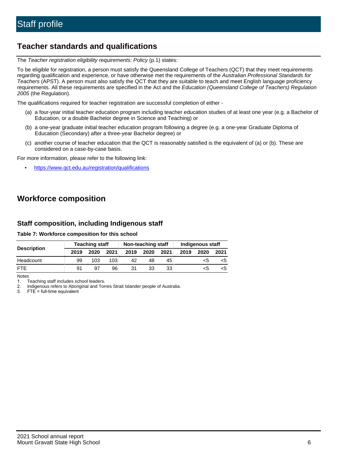# **Teacher standards and qualifications**

The Teacher registration eligibility requirements: Policy (p.1) states:

To be eligible for registration, a person must satisfy the Queensland College of Teachers (QCT) that they meet requirements regarding qualification and experience, or have otherwise met the requirements of the Australian Professional Standards for Teachers (APST). A person must also satisfy the QCT that they are suitable to teach and meet English language proficiency requirements. All these requirements are specified in the Act and the Education (Queensland College of Teachers) Regulation 2005 (the Regulation).

The qualifications required for teacher registration are successful completion of either -

- (a) a four-year initial teacher education program including teacher education studies of at least one year (e.g. a Bachelor of Education, or a double Bachelor degree in Science and Teaching) or
- (b) a one-year graduate initial teacher education program following a degree (e.g. a one-year Graduate Diploma of Education (Secondary) after a three-year Bachelor degree) or
- (c) another course of teacher education that the QCT is reasonably satisfied is the equivalent of (a) or (b). These are considered on a case-by-case basis.

For more information, please refer to the following link:

• <https://www.qct.edu.au/registration/qualifications>

# **Workforce composition**

## **Staff composition, including Indigenous staff**

### **Table 7: Workforce composition for this school**

|                    | <b>Teaching staff</b> |      |      | Non-teaching staff |      |      | Indigenous staff |      |      |
|--------------------|-----------------------|------|------|--------------------|------|------|------------------|------|------|
| <b>Description</b> | 2019                  | 2020 | 2021 | 2019               | 2020 | 2021 | 2019             | 2020 | 2021 |
| Headcount          | 99                    | 103  | 103  | 42                 | 48   | 45   |                  | <5   |      |
| <b>FTE</b>         | 91                    | .97  | 96   | 31                 | 33   | 33   |                  | <5   |      |

Notes

1. Teaching staff includes school leaders.

2. Indigenous refers to Aboriginal and Torres Strait Islander people of Australia.

3. FTE = full-time equivalent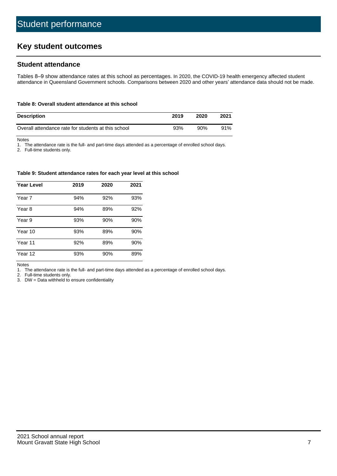# **Key student outcomes**

# **Student attendance**

Tables 8–9 show attendance rates at this school as percentages. In 2020, the COVID-19 health emergency affected student attendance in Queensland Government schools. Comparisons between 2020 and other years' attendance data should not be made.

#### **Table 8: Overall student attendance at this school**

| <b>Description</b>                                  | 2019 | 2020 | 2021 |
|-----------------------------------------------------|------|------|------|
| Overall attendance rate for students at this school | 93%  | 90%  | 91%  |

Notes

1. The attendance rate is the full- and part-time days attended as a percentage of enrolled school days.

2. Full-time students only.

#### **Table 9: Student attendance rates for each year level at this school**

| <b>Year Level</b> | 2019 | 2020 | 2021 |
|-------------------|------|------|------|
| Year 7            | 94%  | 92%  | 93%  |
| Year 8            | 94%  | 89%  | 92%  |
| Year 9            | 93%  | 90%  | 90%  |
| Year 10           | 93%  | 89%  | 90%  |
| Year 11           | 92%  | 89%  | 90%  |
| Year 12           | 93%  | 90%  | 89%  |

Notes

1. The attendance rate is the full- and part-time days attended as a percentage of enrolled school days.

2. Full-time students only.

3. DW = Data withheld to ensure confidentiality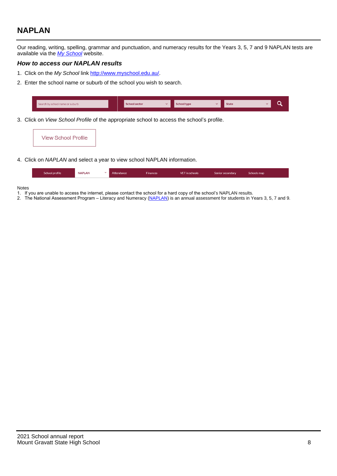# **NAPLAN**

Our reading, writing, spelling, grammar and punctuation, and numeracy results for the Years 3, 5, 7 and 9 NAPLAN tests are available via the [My School](http://www.myschool.edu.au/) website.

## **How to access our NAPLAN results**

- 1. Click on the My School link <http://www.myschool.edu.au/>.
- 2. Enter the school name or suburb of the school you wish to search.

| Search by school name or suburb | <b>School sector</b> | <b>School type</b>                        |          | <b>State</b> |  |
|---------------------------------|----------------------|-------------------------------------------|----------|--------------|--|
|                                 |                      |                                           |          |              |  |
|                                 |                      | $\sim$ $\sim$ $\sim$ $\sim$ $\sim$ $\sim$ | $\cdots$ |              |  |

3. Click on View School Profile of the appropriate school to access the school's profile.

| <b>View School Profile</b> |
|----------------------------|
|----------------------------|

4. Click on NAPLAN and select a year to view school NAPLAN information.

|  | School profile | <b>NAPLAN</b><br>$\sim$ 1 | Attendance | <b>Finances</b> | <b>VET</b> in schools | Senior secondary | Schools map |
|--|----------------|---------------------------|------------|-----------------|-----------------------|------------------|-------------|
|--|----------------|---------------------------|------------|-----------------|-----------------------|------------------|-------------|

#### Notes

- 1. If you are unable to access the internet, please contact the school for a hard copy of the school's NAPLAN results.
- 2. The National Assessment Program Literacy and Numeracy ([NAPLAN\)](http://www.nap.edu.au/naplan) is an annual assessment for students in Years 3, 5, 7 and 9.